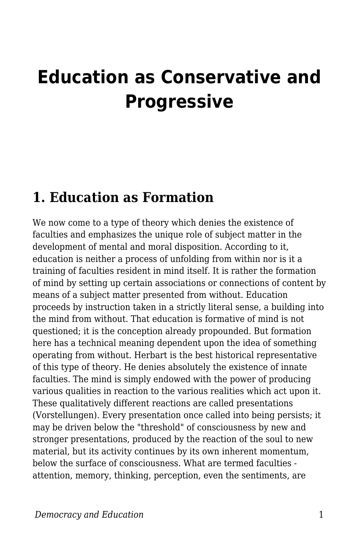# **Education as Conservative and Progressive**

### **1. Education as Formation**

We now come to a type of theory which denies the existence of faculties and emphasizes the unique role of subject matter in the development of mental and moral disposition. According to it, education is neither a process of unfolding from within nor is it a training of faculties resident in mind itself. It is rather the formation of mind by setting up certain associations or connections of content by means of a subject matter presented from without. Education proceeds by instruction taken in a strictly literal sense, a building into the mind from without. That education is formative of mind is not questioned; it is the conception already propounded. But formation here has a technical meaning dependent upon the idea of something operating from without. Herbart is the best historical representative of this type of theory. He denies absolutely the existence of innate faculties. The mind is simply endowed with the power of producing various qualities in reaction to the various realities which act upon it. These qualitatively different reactions are called presentations (Vorstellungen). Every presentation once called into being persists; it may be driven below the "threshold" of consciousness by new and stronger presentations, produced by the reaction of the soul to new material, but its activity continues by its own inherent momentum, below the surface of consciousness. What are termed faculties attention, memory, thinking, perception, even the sentiments, are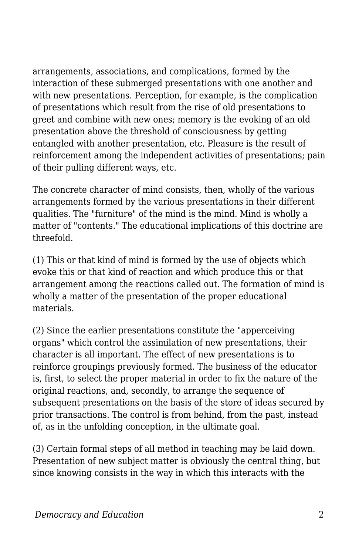arrangements, associations, and complications, formed by the interaction of these submerged presentations with one another and with new presentations. Perception, for example, is the complication of presentations which result from the rise of old presentations to greet and combine with new ones; memory is the evoking of an old presentation above the threshold of consciousness by getting entangled with another presentation, etc. Pleasure is the result of reinforcement among the independent activities of presentations; pain of their pulling different ways, etc.

The concrete character of mind consists, then, wholly of the various arrangements formed by the various presentations in their different qualities. The "furniture" of the mind is the mind. Mind is wholly a matter of "contents." The educational implications of this doctrine are threefold.

(1) This or that kind of mind is formed by the use of objects which evoke this or that kind of reaction and which produce this or that arrangement among the reactions called out. The formation of mind is wholly a matter of the presentation of the proper educational materials.

(2) Since the earlier presentations constitute the "apperceiving organs" which control the assimilation of new presentations, their character is all important. The effect of new presentations is to reinforce groupings previously formed. The business of the educator is, first, to select the proper material in order to fix the nature of the original reactions, and, secondly, to arrange the sequence of subsequent presentations on the basis of the store of ideas secured by prior transactions. The control is from behind, from the past, instead of, as in the unfolding conception, in the ultimate goal.

(3) Certain formal steps of all method in teaching may be laid down. Presentation of new subject matter is obviously the central thing, but since knowing consists in the way in which this interacts with the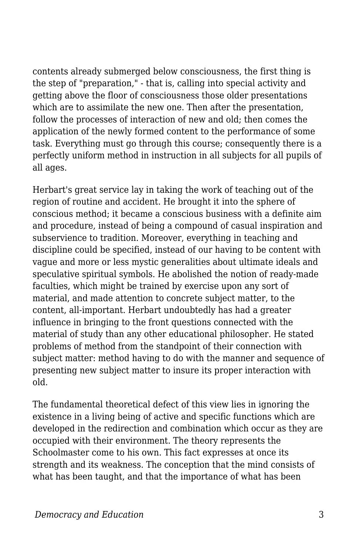contents already submerged below consciousness, the first thing is the step of "preparation," - that is, calling into special activity and getting above the floor of consciousness those older presentations which are to assimilate the new one. Then after the presentation, follow the processes of interaction of new and old; then comes the application of the newly formed content to the performance of some task. Everything must go through this course; consequently there is a perfectly uniform method in instruction in all subjects for all pupils of all ages.

Herbart's great service lay in taking the work of teaching out of the region of routine and accident. He brought it into the sphere of conscious method; it became a conscious business with a definite aim and procedure, instead of being a compound of casual inspiration and subservience to tradition. Moreover, everything in teaching and discipline could be specified, instead of our having to be content with vague and more or less mystic generalities about ultimate ideals and speculative spiritual symbols. He abolished the notion of ready-made faculties, which might be trained by exercise upon any sort of material, and made attention to concrete subject matter, to the content, all-important. Herbart undoubtedly has had a greater influence in bringing to the front questions connected with the material of study than any other educational philosopher. He stated problems of method from the standpoint of their connection with subject matter: method having to do with the manner and sequence of presenting new subject matter to insure its proper interaction with old.

The fundamental theoretical defect of this view lies in ignoring the existence in a living being of active and specific functions which are developed in the redirection and combination which occur as they are occupied with their environment. The theory represents the Schoolmaster come to his own. This fact expresses at once its strength and its weakness. The conception that the mind consists of what has been taught, and that the importance of what has been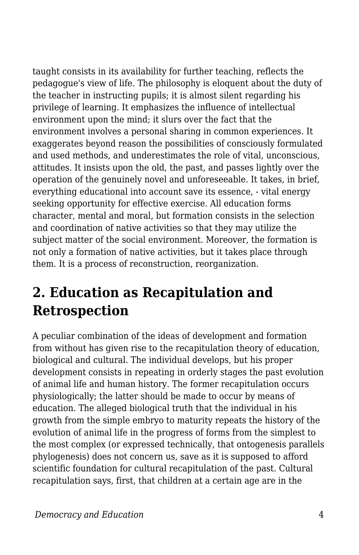taught consists in its availability for further teaching, reflects the pedagogue's view of life. The philosophy is eloquent about the duty of the teacher in instructing pupils; it is almost silent regarding his privilege of learning. It emphasizes the influence of intellectual environment upon the mind; it slurs over the fact that the environment involves a personal sharing in common experiences. It exaggerates beyond reason the possibilities of consciously formulated and used methods, and underestimates the role of vital, unconscious, attitudes. It insists upon the old, the past, and passes lightly over the operation of the genuinely novel and unforeseeable. It takes, in brief, everything educational into account save its essence, - vital energy seeking opportunity for effective exercise. All education forms character, mental and moral, but formation consists in the selection and coordination of native activities so that they may utilize the subject matter of the social environment. Moreover, the formation is not only a formation of native activities, but it takes place through them. It is a process of reconstruction, reorganization.

# **2. Education as Recapitulation and Retrospection**

A peculiar combination of the ideas of development and formation from without has given rise to the recapitulation theory of education, biological and cultural. The individual develops, but his proper development consists in repeating in orderly stages the past evolution of animal life and human history. The former recapitulation occurs physiologically; the latter should be made to occur by means of education. The alleged biological truth that the individual in his growth from the simple embryo to maturity repeats the history of the evolution of animal life in the progress of forms from the simplest to the most complex (or expressed technically, that ontogenesis parallels phylogenesis) does not concern us, save as it is supposed to afford scientific foundation for cultural recapitulation of the past. Cultural recapitulation says, first, that children at a certain age are in the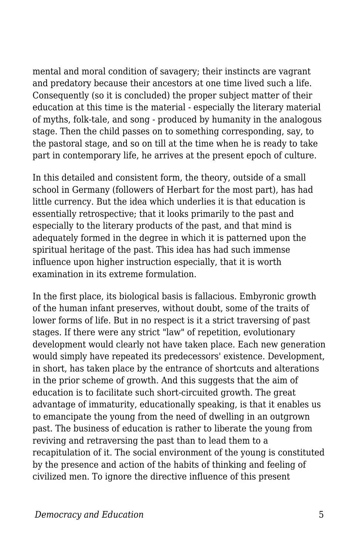mental and moral condition of savagery; their instincts are vagrant and predatory because their ancestors at one time lived such a life. Consequently (so it is concluded) the proper subject matter of their education at this time is the material - especially the literary material of myths, folk-tale, and song - produced by humanity in the analogous stage. Then the child passes on to something corresponding, say, to the pastoral stage, and so on till at the time when he is ready to take part in contemporary life, he arrives at the present epoch of culture.

In this detailed and consistent form, the theory, outside of a small school in Germany (followers of Herbart for the most part), has had little currency. But the idea which underlies it is that education is essentially retrospective; that it looks primarily to the past and especially to the literary products of the past, and that mind is adequately formed in the degree in which it is patterned upon the spiritual heritage of the past. This idea has had such immense influence upon higher instruction especially, that it is worth examination in its extreme formulation.

In the first place, its biological basis is fallacious. Embyronic growth of the human infant preserves, without doubt, some of the traits of lower forms of life. But in no respect is it a strict traversing of past stages. If there were any strict "law" of repetition, evolutionary development would clearly not have taken place. Each new generation would simply have repeated its predecessors' existence. Development, in short, has taken place by the entrance of shortcuts and alterations in the prior scheme of growth. And this suggests that the aim of education is to facilitate such short-circuited growth. The great advantage of immaturity, educationally speaking, is that it enables us to emancipate the young from the need of dwelling in an outgrown past. The business of education is rather to liberate the young from reviving and retraversing the past than to lead them to a recapitulation of it. The social environment of the young is constituted by the presence and action of the habits of thinking and feeling of civilized men. To ignore the directive influence of this present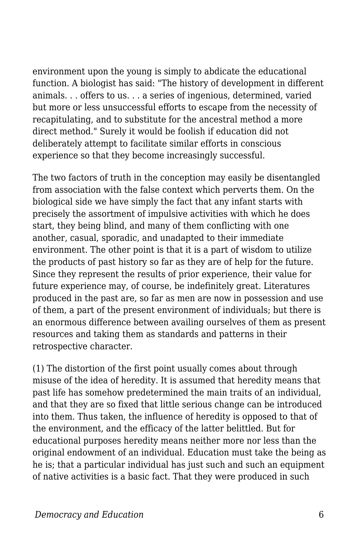environment upon the young is simply to abdicate the educational function. A biologist has said: "The history of development in different animals. . . offers to us. . . a series of ingenious, determined, varied but more or less unsuccessful efforts to escape from the necessity of recapitulating, and to substitute for the ancestral method a more direct method." Surely it would be foolish if education did not deliberately attempt to facilitate similar efforts in conscious experience so that they become increasingly successful.

The two factors of truth in the conception may easily be disentangled from association with the false context which perverts them. On the biological side we have simply the fact that any infant starts with precisely the assortment of impulsive activities with which he does start, they being blind, and many of them conflicting with one another, casual, sporadic, and unadapted to their immediate environment. The other point is that it is a part of wisdom to utilize the products of past history so far as they are of help for the future. Since they represent the results of prior experience, their value for future experience may, of course, be indefinitely great. Literatures produced in the past are, so far as men are now in possession and use of them, a part of the present environment of individuals; but there is an enormous difference between availing ourselves of them as present resources and taking them as standards and patterns in their retrospective character.

(1) The distortion of the first point usually comes about through misuse of the idea of heredity. It is assumed that heredity means that past life has somehow predetermined the main traits of an individual, and that they are so fixed that little serious change can be introduced into them. Thus taken, the influence of heredity is opposed to that of the environment, and the efficacy of the latter belittled. But for educational purposes heredity means neither more nor less than the original endowment of an individual. Education must take the being as he is; that a particular individual has just such and such an equipment of native activities is a basic fact. That they were produced in such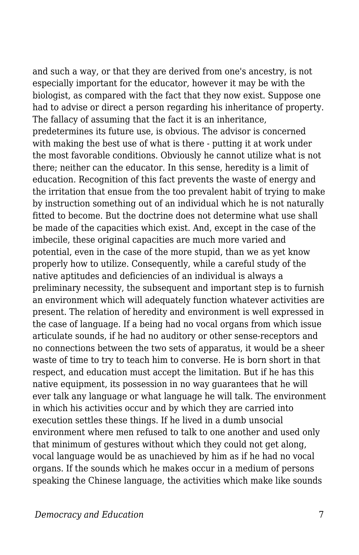and such a way, or that they are derived from one's ancestry, is not especially important for the educator, however it may be with the biologist, as compared with the fact that they now exist. Suppose one had to advise or direct a person regarding his inheritance of property. The fallacy of assuming that the fact it is an inheritance, predetermines its future use, is obvious. The advisor is concerned with making the best use of what is there - putting it at work under the most favorable conditions. Obviously he cannot utilize what is not there; neither can the educator. In this sense, heredity is a limit of education. Recognition of this fact prevents the waste of energy and the irritation that ensue from the too prevalent habit of trying to make by instruction something out of an individual which he is not naturally fitted to become. But the doctrine does not determine what use shall be made of the capacities which exist. And, except in the case of the imbecile, these original capacities are much more varied and potential, even in the case of the more stupid, than we as yet know properly how to utilize. Consequently, while a careful study of the native aptitudes and deficiencies of an individual is always a preliminary necessity, the subsequent and important step is to furnish an environment which will adequately function whatever activities are present. The relation of heredity and environment is well expressed in the case of language. If a being had no vocal organs from which issue articulate sounds, if he had no auditory or other sense-receptors and no connections between the two sets of apparatus, it would be a sheer waste of time to try to teach him to converse. He is born short in that respect, and education must accept the limitation. But if he has this native equipment, its possession in no way guarantees that he will ever talk any language or what language he will talk. The environment in which his activities occur and by which they are carried into execution settles these things. If he lived in a dumb unsocial environment where men refused to talk to one another and used only that minimum of gestures without which they could not get along, vocal language would be as unachieved by him as if he had no vocal organs. If the sounds which he makes occur in a medium of persons speaking the Chinese language, the activities which make like sounds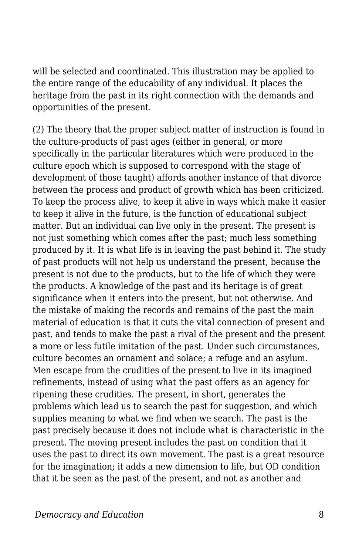will be selected and coordinated. This illustration may be applied to the entire range of the educability of any individual. It places the heritage from the past in its right connection with the demands and opportunities of the present.

(2) The theory that the proper subject matter of instruction is found in the culture-products of past ages (either in general, or more specifically in the particular literatures which were produced in the culture epoch which is supposed to correspond with the stage of development of those taught) affords another instance of that divorce between the process and product of growth which has been criticized. To keep the process alive, to keep it alive in ways which make it easier to keep it alive in the future, is the function of educational subject matter. But an individual can live only in the present. The present is not just something which comes after the past; much less something produced by it. It is what life is in leaving the past behind it. The study of past products will not help us understand the present, because the present is not due to the products, but to the life of which they were the products. A knowledge of the past and its heritage is of great significance when it enters into the present, but not otherwise. And the mistake of making the records and remains of the past the main material of education is that it cuts the vital connection of present and past, and tends to make the past a rival of the present and the present a more or less futile imitation of the past. Under such circumstances, culture becomes an ornament and solace; a refuge and an asylum. Men escape from the crudities of the present to live in its imagined refinements, instead of using what the past offers as an agency for ripening these crudities. The present, in short, generates the problems which lead us to search the past for suggestion, and which supplies meaning to what we find when we search. The past is the past precisely because it does not include what is characteristic in the present. The moving present includes the past on condition that it uses the past to direct its own movement. The past is a great resource for the imagination; it adds a new dimension to life, but OD condition that it be seen as the past of the present, and not as another and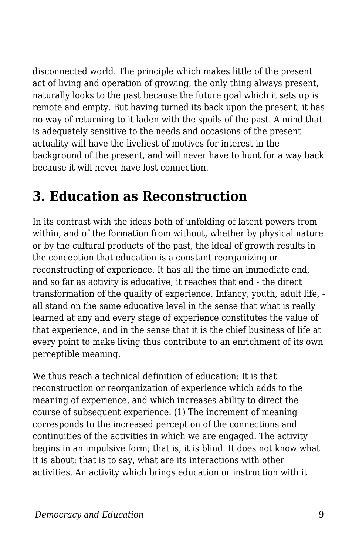disconnected world. The principle which makes little of the present act of living and operation of growing, the only thing always present, naturally looks to the past because the future goal which it sets up is remote and empty. But having turned its back upon the present, it has no way of returning to it laden with the spoils of the past. A mind that is adequately sensitive to the needs and occasions of the present actuality will have the liveliest of motives for interest in the background of the present, and will never have to hunt for a way back because it will never have lost connection.

## **3. Education as Reconstruction**

In its contrast with the ideas both of unfolding of latent powers from within, and of the formation from without, whether by physical nature or by the cultural products of the past, the ideal of growth results in the conception that education is a constant reorganizing or reconstructing of experience. It has all the time an immediate end, and so far as activity is educative, it reaches that end - the direct transformation of the quality of experience. Infancy, youth, adult life, all stand on the same educative level in the sense that what is really learned at any and every stage of experience constitutes the value of that experience, and in the sense that it is the chief business of life at every point to make living thus contribute to an enrichment of its own perceptible meaning.

We thus reach a technical definition of education: It is that reconstruction or reorganization of experience which adds to the meaning of experience, and which increases ability to direct the course of subsequent experience. (1) The increment of meaning corresponds to the increased perception of the connections and continuities of the activities in which we are engaged. The activity begins in an impulsive form; that is, it is blind. It does not know what it is about; that is to say, what are its interactions with other activities. An activity which brings education or instruction with it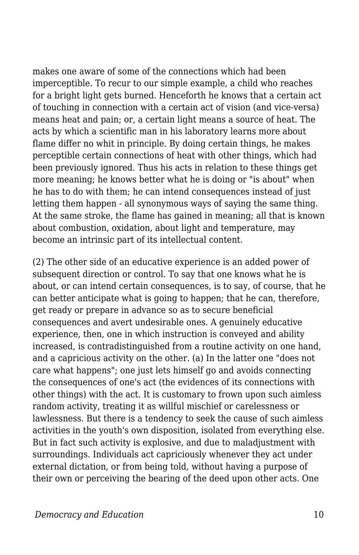makes one aware of some of the connections which had been imperceptible. To recur to our simple example, a child who reaches for a bright light gets burned. Henceforth he knows that a certain act of touching in connection with a certain act of vision (and vice-versa) means heat and pain; or, a certain light means a source of heat. The acts by which a scientific man in his laboratory learns more about flame differ no whit in principle. By doing certain things, he makes perceptible certain connections of heat with other things, which had been previously ignored. Thus his acts in relation to these things get more meaning; he knows better what he is doing or "is about" when he has to do with them; he can intend consequences instead of just letting them happen - all synonymous ways of saying the same thing. At the same stroke, the flame has gained in meaning; all that is known about combustion, oxidation, about light and temperature, may become an intrinsic part of its intellectual content.

(2) The other side of an educative experience is an added power of subsequent direction or control. To say that one knows what he is about, or can intend certain consequences, is to say, of course, that he can better anticipate what is going to happen; that he can, therefore, get ready or prepare in advance so as to secure beneficial consequences and avert undesirable ones. A genuinely educative experience, then, one in which instruction is conveyed and ability increased, is contradistinguished from a routine activity on one hand, and a capricious activity on the other. (a) In the latter one "does not care what happens"; one just lets himself go and avoids connecting the consequences of one's act (the evidences of its connections with other things) with the act. It is customary to frown upon such aimless random activity, treating it as willful mischief or carelessness or lawlessness. But there is a tendency to seek the cause of such aimless activities in the youth's own disposition, isolated from everything else. But in fact such activity is explosive, and due to maladjustment with surroundings. Individuals act capriciously whenever they act under external dictation, or from being told, without having a purpose of their own or perceiving the bearing of the deed upon other acts. One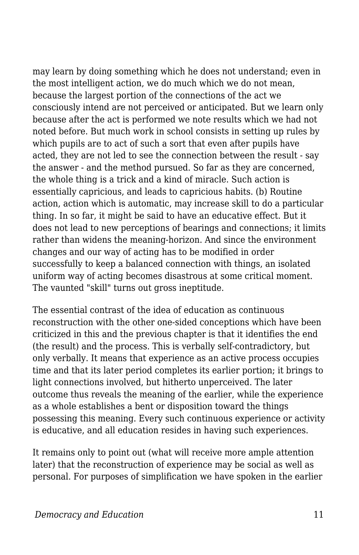may learn by doing something which he does not understand; even in the most intelligent action, we do much which we do not mean, because the largest portion of the connections of the act we consciously intend are not perceived or anticipated. But we learn only because after the act is performed we note results which we had not noted before. But much work in school consists in setting up rules by which pupils are to act of such a sort that even after pupils have acted, they are not led to see the connection between the result - say the answer - and the method pursued. So far as they are concerned, the whole thing is a trick and a kind of miracle. Such action is essentially capricious, and leads to capricious habits. (b) Routine action, action which is automatic, may increase skill to do a particular thing. In so far, it might be said to have an educative effect. But it does not lead to new perceptions of bearings and connections; it limits rather than widens the meaning-horizon. And since the environment changes and our way of acting has to be modified in order successfully to keep a balanced connection with things, an isolated uniform way of acting becomes disastrous at some critical moment. The vaunted "skill" turns out gross ineptitude.

The essential contrast of the idea of education as continuous reconstruction with the other one-sided conceptions which have been criticized in this and the previous chapter is that it identifies the end (the result) and the process. This is verbally self-contradictory, but only verbally. It means that experience as an active process occupies time and that its later period completes its earlier portion; it brings to light connections involved, but hitherto unperceived. The later outcome thus reveals the meaning of the earlier, while the experience as a whole establishes a bent or disposition toward the things possessing this meaning. Every such continuous experience or activity is educative, and all education resides in having such experiences.

It remains only to point out (what will receive more ample attention later) that the reconstruction of experience may be social as well as personal. For purposes of simplification we have spoken in the earlier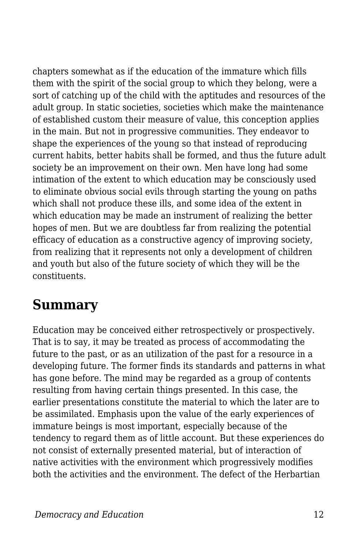chapters somewhat as if the education of the immature which fills them with the spirit of the social group to which they belong, were a sort of catching up of the child with the aptitudes and resources of the adult group. In static societies, societies which make the maintenance of established custom their measure of value, this conception applies in the main. But not in progressive communities. They endeavor to shape the experiences of the young so that instead of reproducing current habits, better habits shall be formed, and thus the future adult society be an improvement on their own. Men have long had some intimation of the extent to which education may be consciously used to eliminate obvious social evils through starting the young on paths which shall not produce these ills, and some idea of the extent in which education may be made an instrument of realizing the better hopes of men. But we are doubtless far from realizing the potential efficacy of education as a constructive agency of improving society, from realizing that it represents not only a development of children and youth but also of the future society of which they will be the constituents.

#### **Summary**

Education may be conceived either retrospectively or prospectively. That is to say, it may be treated as process of accommodating the future to the past, or as an utilization of the past for a resource in a developing future. The former finds its standards and patterns in what has gone before. The mind may be regarded as a group of contents resulting from having certain things presented. In this case, the earlier presentations constitute the material to which the later are to be assimilated. Emphasis upon the value of the early experiences of immature beings is most important, especially because of the tendency to regard them as of little account. But these experiences do not consist of externally presented material, but of interaction of native activities with the environment which progressively modifies both the activities and the environment. The defect of the Herbartian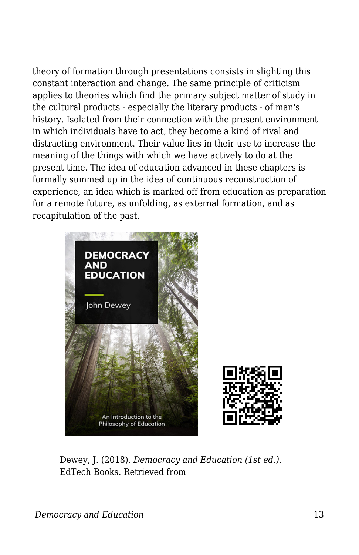theory of formation through presentations consists in slighting this constant interaction and change. The same principle of criticism applies to theories which find the primary subject matter of study in the cultural products - especially the literary products - of man's history. Isolated from their connection with the present environment in which individuals have to act, they become a kind of rival and distracting environment. Their value lies in their use to increase the meaning of the things with which we have actively to do at the present time. The idea of education advanced in these chapters is formally summed up in the idea of continuous reconstruction of experience, an idea which is marked off from education as preparation for a remote future, as unfolding, as external formation, and as recapitulation of the past.



Dewey, J. (2018). *Democracy and Education (1st ed.)*. EdTech Books. Retrieved from